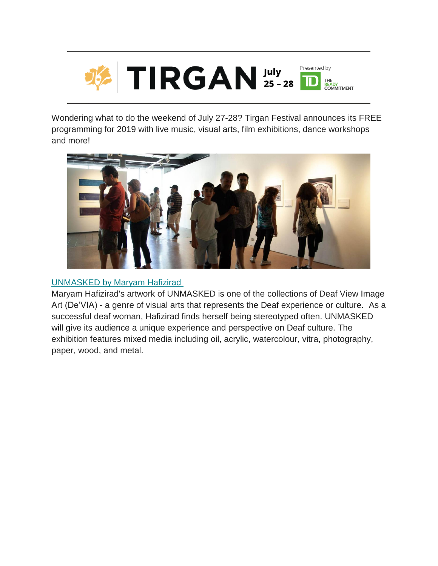

Wondering what to do the weekend of July 27-28? Tirgan Festival announces its FREE programming for 2019 with live music, visual arts, film exhibitions, dance workshops and more!



# [UNMASKED by Maryam Hafizirad](https://tirgan.ca/tirgan2019/event/unmasked/)

Maryam Hafizirad's artwork of UNMASKED is one of the collections of Deaf View Image Art (De'VIA) - a genre of visual arts that represents the Deaf experience or culture. As a successful deaf woman, Hafizirad finds herself being stereotyped often. UNMASKED will give its audience a unique experience and perspective on Deaf culture. The exhibition features mixed media including oil, acrylic, watercolour, vitra, photography, paper, wood, and metal.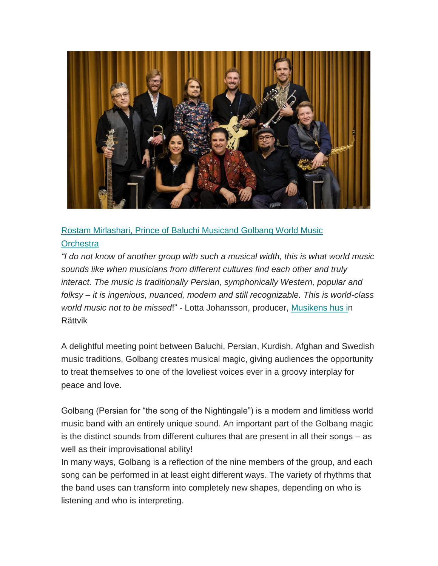

[Rostam Mirlashari, Prince of Baluchi Musicand Golbang World Music](https://tirgan.ca/tirgan2019/event/rostam-mirlashari-prince-of-baluchi-music-2/)  **Orchestra** 

*"I do not know of another group with such a musical width, this is what world music sounds like when musicians from different cultures find each other and truly interact. The music is traditionally Persian, symphonically Western, popular and folksy – it is ingenious, nuanced, modern and still recognizable. This is world-class world music not to be missed*!" - Lotta Johansson, producer, [Musikens hus in](http://www.musikenshus.se/) Rättvik

A delightful meeting point between Baluchi, Persian, Kurdish, Afghan and Swedish music traditions, Golbang creates musical magic, giving audiences the opportunity to treat themselves to one of the loveliest voices ever in a groovy interplay for peace and love.

Golbang (Persian for "the song of the Nightingale") is a modern and limitless world music band with an entirely unique sound. An important part of the Golbang magic is the distinct sounds from different cultures that are present in all their songs – as well as their improvisational ability!

In many ways, Golbang is a reflection of the nine members of the group, and each song can be performed in at least eight different ways. The variety of rhythms that the band uses can transform into completely new shapes, depending on who is listening and who is interpreting.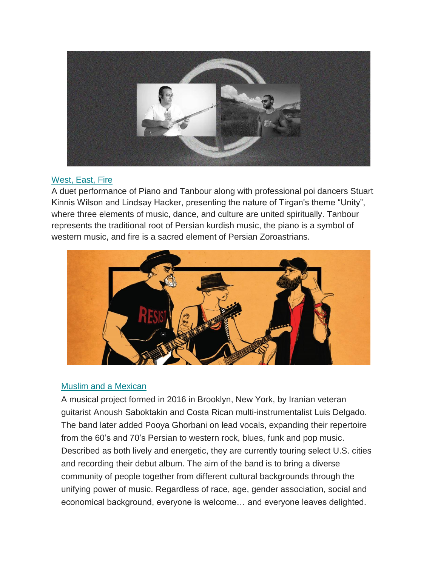

## [West, East, Fire](https://tirgan.ca/tirgan2019/event/west-east-fire/)

A duet performance of Piano and Tanbour along with professional poi dancers Stuart Kinnis Wilson and Lindsay Hacker, presenting the nature of Tirgan's theme "Unity", where three elements of music, dance, and culture are united spiritually. Tanbour represents the traditional root of Persian kurdish music, the piano is a symbol of western music, and fire is a sacred element of Persian Zoroastrians.



## [Muslim and a Mexican](https://tirgan.ca/tirgan2019/event/muslim-and-a-mexican-2/)

A musical project formed in 2016 in Brooklyn, New York, by Iranian veteran guitarist Anoush Saboktakin and Costa Rican multi-instrumentalist Luis Delgado. The band later added Pooya Ghorbani on lead vocals, expanding their repertoire from the 60's and 70's Persian to western rock, blues, funk and pop music. Described as both lively and energetic, they are currently touring select U.S. cities and recording their debut album. The aim of the band is to bring a diverse community of people together from different cultural backgrounds through the unifying power of music. Regardless of race, age, gender association, social and economical background, everyone is welcome… and everyone leaves delighted.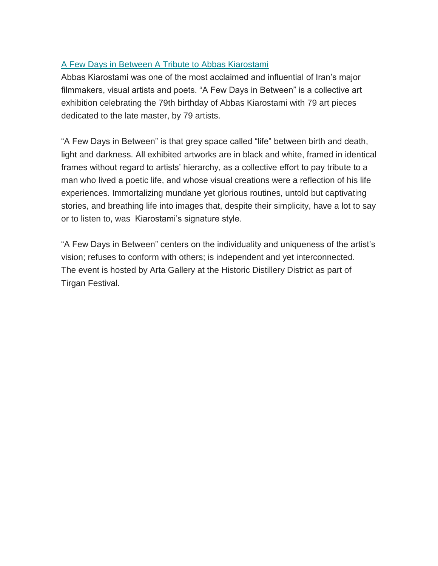# [A Few Days in Between A Tribute to Abbas Kiarostami](https://tirgan.ca/tirgan2019/event/a-few-days-in-between/)

Abbas Kiarostami was one of the most acclaimed and influential of Iran's major filmmakers, visual artists and poets. "A Few Days in Between" is a collective art exhibition celebrating the 79th birthday of Abbas Kiarostami with 79 art pieces dedicated to the late master, by 79 artists.

"A Few Days in Between" is that grey space called "life" between birth and death, light and darkness. All exhibited artworks are in black and white, framed in identical frames without regard to artists' hierarchy, as a collective effort to pay tribute to a man who lived a poetic life, and whose visual creations were a reflection of his life experiences. Immortalizing mundane yet glorious routines, untold but captivating stories, and breathing life into images that, despite their simplicity, have a lot to say or to listen to, was Kiarostami's signature style.

"A Few Days in Between" centers on the individuality and uniqueness of the artist's vision; refuses to conform with others; is independent and yet interconnected. The event is hosted by Arta Gallery at the Historic Distillery District as part of Tirgan Festival.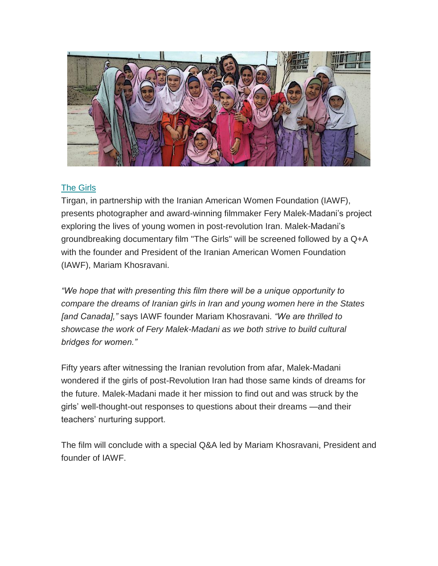

# [The Girls](https://tirgan.ca/tirgan2019/event/the-girls/)

Tirgan, in partnership with the Iranian American Women Foundation (IAWF), presents photographer and award-winning filmmaker Fery Malek-Madani's project exploring the lives of young women in post-revolution Iran. Malek-Madani's groundbreaking documentary film "The Girls" will be screened followed by a Q+A with the founder and President of the Iranian American Women Foundation (IAWF), Mariam Khosravani.

*"We hope that with presenting this film there will be a unique opportunity to compare the dreams of Iranian girls in Iran and young women here in the States [and Canada],"* says IAWF founder Mariam Khosravani. *"We are thrilled to showcase the work of Fery Malek-Madani as we both strive to build cultural bridges for women."*

Fifty years after witnessing the Iranian revolution from afar, Malek-Madani wondered if the girls of post-Revolution Iran had those same kinds of dreams for the future. Malek-Madani made it her mission to find out and was struck by the girls' well-thought-out responses to questions about their dreams —and their teachers' nurturing support.

The film will conclude with a special Q&A led by Mariam Khosravani, President and founder of IAWF.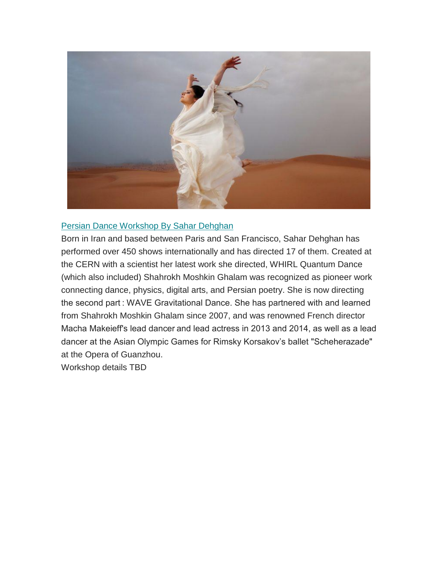

#### [Persian Dance Workshop By Sahar Dehghan](https://tirgan.ca/tirgan2019/event/persian-dance-workshop/)

Born in Iran and based between Paris and San Francisco, Sahar Dehghan has performed over 450 shows internationally and has directed 17 of them. Created at the CERN with a scientist her latest work she directed, WHIRL Quantum Dance (which also included) Shahrokh Moshkin Ghalam was recognized as pioneer work connecting dance, physics, digital arts, and Persian poetry. She is now directing the second part : WAVE Gravitational Dance. She has partnered with and learned from Shahrokh Moshkin Ghalam since 2007, and was renowned French director Macha Makeieff's lead dancer and lead actress in 2013 and 2014, as well as a lead dancer at the Asian Olympic Games for Rimsky Korsakov's ballet "Scheherazade" at the Opera of Guanzhou.

Workshop details TBD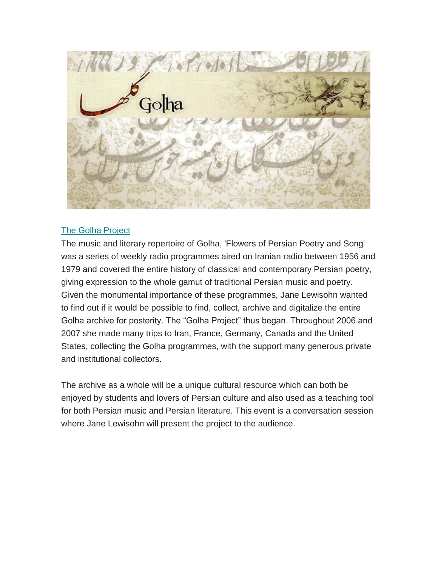

### [The Golha Project](https://tirgan.ca/tirgan2019/event/golha-project/)

The music and literary repertoire of Golha, 'Flowers of Persian Poetry and Song' was a series of weekly radio programmes aired on Iranian radio between 1956 and 1979 and covered the entire history of classical and contemporary Persian poetry, giving expression to the whole gamut of traditional Persian music and poetry. Given the monumental importance of these programmes, Jane Lewisohn wanted to find out if it would be possible to find, collect, archive and digitalize the entire Golha archive for posterity. The "Golha Project" thus began. Throughout 2006 and 2007 she made many trips to Iran, France, Germany, Canada and the United States, collecting the Golha programmes, with the support many generous private and institutional collectors.

The archive as a whole will be a unique cultural resource which can both be enjoyed by students and lovers of Persian culture and also used as a teaching tool for both Persian music and Persian literature. This event is a conversation session where Jane Lewisohn will present the project to the audience.